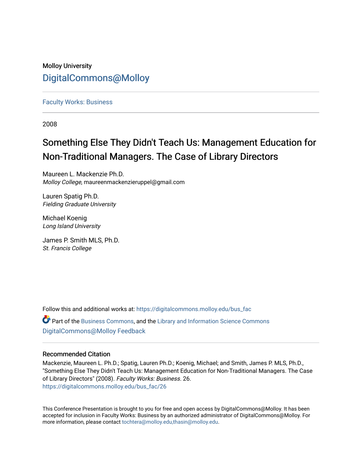# Molloy University [DigitalCommons@Molloy](https://digitalcommons.molloy.edu/)

#### [Faculty Works: Business](https://digitalcommons.molloy.edu/bus_fac)

2008

# Something Else They Didn't Teach Us: Management Education for Non-Traditional Managers. The Case of Library Directors

Maureen L. Mackenzie Ph.D. Molloy College, maureenmackenzieruppel@gmail.com

Lauren Spatig Ph.D. Fielding Graduate University

Michael Koenig Long Island University

James P. Smith MLS, Ph.D. St. Francis College

Follow this and additional works at: [https://digitalcommons.molloy.edu/bus\\_fac](https://digitalcommons.molloy.edu/bus_fac?utm_source=digitalcommons.molloy.edu%2Fbus_fac%2F26&utm_medium=PDF&utm_campaign=PDFCoverPages)

Part of the [Business Commons](https://network.bepress.com/hgg/discipline/622?utm_source=digitalcommons.molloy.edu%2Fbus_fac%2F26&utm_medium=PDF&utm_campaign=PDFCoverPages), and the [Library and Information Science Commons](https://network.bepress.com/hgg/discipline/1018?utm_source=digitalcommons.molloy.edu%2Fbus_fac%2F26&utm_medium=PDF&utm_campaign=PDFCoverPages)  [DigitalCommons@Molloy Feedback](https://molloy.libwizard.com/f/dcfeedback)

#### Recommended Citation

Mackenzie, Maureen L. Ph.D.; Spatig, Lauren Ph.D.; Koenig, Michael; and Smith, James P. MLS, Ph.D., "Something Else They Didn't Teach Us: Management Education for Non-Traditional Managers. The Case of Library Directors" (2008). Faculty Works: Business. 26. [https://digitalcommons.molloy.edu/bus\\_fac/26](https://digitalcommons.molloy.edu/bus_fac/26?utm_source=digitalcommons.molloy.edu%2Fbus_fac%2F26&utm_medium=PDF&utm_campaign=PDFCoverPages) 

This Conference Presentation is brought to you for free and open access by DigitalCommons@Molloy. It has been accepted for inclusion in Faculty Works: Business by an authorized administrator of DigitalCommons@Molloy. For more information, please contact [tochtera@molloy.edu,thasin@molloy.edu.](mailto:tochtera@molloy.edu,thasin@molloy.edu)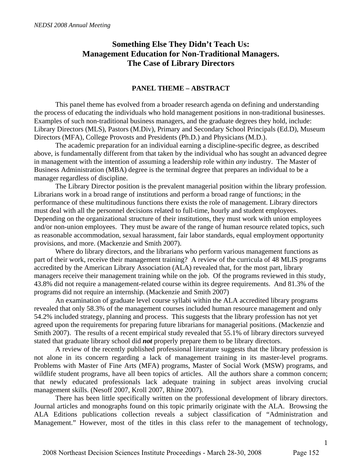# **Something Else They Didn't Teach Us: Management Education for Non-Traditional Managers. The Case of Library Directors**

#### **PANEL THEME – ABSTRACT**

 This panel theme has evolved from a broader research agenda on defining and understanding the process of educating the individuals who hold management positions in non-traditional businesses. Examples of such non-traditional business managers, and the graduate degrees they hold, include: Library Directors (MLS), Pastors (M.Div), Primary and Secondary School Principals (Ed.D), Museum Directors (MFA), College Provosts and Presidents (Ph.D.) and Physicians (M.D.).

 The academic preparation for an individual earning a discipline-specific degree, as described above, is fundamentally different from that taken by the individual who has sought an advanced degree in management with the intention of assuming a leadership role within *any* industry. The Master of Business Administration (MBA) degree is the terminal degree that prepares an individual to be a manager regardless of discipline.

The Library Director position is the prevalent managerial position within the library profession. Librarians work in a broad range of institutions and perform a broad range of functions; in the performance of these multitudinous functions there exists the role of management. Library directors must deal with all the personnel decisions related to full-time, hourly and student employees. Depending on the organizational structure of their institutions, they must work with union employees and/or non-union employees. They must be aware of the range of human resource related topics, such as reasonable accommodation, sexual harassment, fair labor standards, equal employment opportunity provisions, and more. (Mackenzie and Smith 2007).

Where do library directors, and the librarians who perform various management functions as part of their work, receive their management training? A review of the curricula of 48 MLIS programs accredited by the American Library Association (ALA) revealed that, for the most part, library managers receive their management training while on the job. Of the programs reviewed in this study, 43.8% did not require a management-related course within its degree requirements. And 81.3% of the programs did not require an internship. (Mackenzie and Smith 2007)

An examination of graduate level course syllabi within the ALA accredited library programs revealed that only 58.3% of the management courses included human resource management and only 54.2% included strategy, planning and process. This suggests that the library profession has not yet agreed upon the requirements for preparing future librarians for managerial positions. (Mackenzie and Smith 2007). The results of a recent empirical study revealed that 55.1% of library directors surveyed stated that graduate library school did *not* properly prepare them to be library directors.

 A review of the recently published professional literature suggests that the library profession is not alone in its concern regarding a lack of management training in its master-level programs. Problems with Master of Fine Arts (MFA) programs, Master of Social Work (MSW) programs, and wildlife student programs, have all been topics of articles. All the authors share a common concern; that newly educated professionals lack adequate training in subject areas involving crucial management skills. (Nesoff 2007, Kroll 2007, Rhine 2007).

 There has been little specifically written on the professional development of library directors. Journal articles and monographs found on this topic primarily originate with the ALA. Browsing the ALA Editions publications collection reveals a subject classification of "Administration and Management." However, most of the titles in this class refer to the management of technology,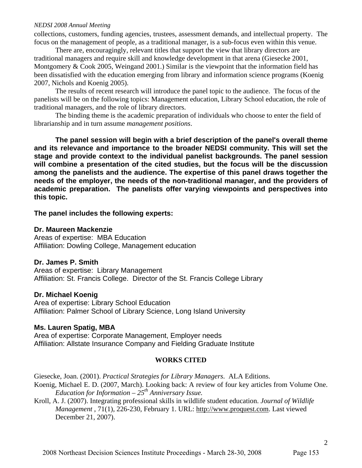#### *NEDSI 2008 Annual Meeting*

collections, customers, funding agencies, trustees, assessment demands, and intellectual property. The focus on the management of people, as a traditional manager, is a sub-focus even within this venue.

There are, encouragingly, relevant titles that support the view that library directors are traditional managers and require skill and knowledge development in that arena (Giesecke 2001, Montgomery  $& \text{Cook } 2005$ , Weingand 2001.) Similar is the viewpoint that the information field has been dissatisfied with the education emerging from library and information science programs (Koenig 2007, Nichols and Koenig 2005).

The results of recent research will introduce the panel topic to the audience. The focus of the panelists will be on the following topics: Management education, Library School education, the role of traditional managers, and the role of library directors.

The binding theme is the academic preparation of individuals who choose to enter the field of librarianship and in turn assume *management positions*.

**The panel session will begin with a brief description of the panel's overall theme and its relevance and importance to the broader NEDSI community. This will set the stage and provide context to the individual panelist backgrounds. The panel session will combine a presentation of the cited studies, but the focus will be the discussion among the panelists and the audience. The expertise of this panel draws together the needs of the employer, the needs of the non-traditional manager, and the providers of academic preparation. The panelists offer varying viewpoints and perspectives into this topic.** 

**The panel includes the following experts:** 

#### **Dr. Maureen Mackenzie**

Areas of expertise: MBA Education Affiliation: Dowling College, Management education

## **Dr. James P. Smith**

Areas of expertise: Library Management Affiliation: St. Francis College. Director of the St. Francis College Library

## **Dr. Michael Koenig**

Area of expertise: Library School Education Affiliation: Palmer School of Library Science, Long Island University

## **Ms. Lauren Spatig, MBA**

Area of expertise: Corporate Management, Employer needs Affiliation: Allstate Insurance Company and Fielding Graduate Institute

## **WORKS CITED**

Giesecke, Joan. (2001). *Practical Strategies for Library Managers*. ALA Editions.

Koenig, Michael E. D. (2007, March). Looking back: A review of four key articles from Volume One. *Education for Information*  $-25<sup>th</sup>$  Anniversary Issue.

Kroll, A. J. (2007). Integrating professional skills in wildlife student education. *Journal of Wildlife Management* , 71(1), 226-230, February 1. URL: http://www.proquest.com. Last viewed December 21, 2007).